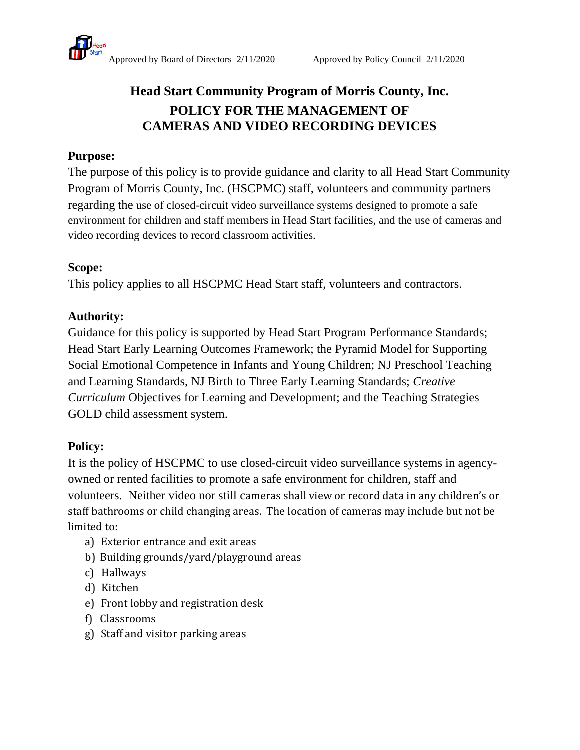

# **Head Start Community Program of Morris County, Inc. POLICY FOR THE MANAGEMENT OF CAMERAS AND VIDEO RECORDING DEVICES**

### **Purpose:**

The purpose of this policy is to provide guidance and clarity to all Head Start Community Program of Morris County, Inc. (HSCPMC) staff, volunteers and community partners regarding the use of closed-circuit video surveillance systems designed to promote a safe environment for children and staff members in Head Start facilities, and the use of cameras and video recording devices to record classroom activities.

### **Scope:**

This policy applies to all HSCPMC Head Start staff, volunteers and contractors.

### **Authority:**

Guidance for this policy is supported by Head Start Program Performance Standards; Head Start Early Learning Outcomes Framework; the Pyramid Model for Supporting Social Emotional Competence in Infants and Young Children; NJ Preschool Teaching and Learning Standards, NJ Birth to Three Early Learning Standards; *Creative Curriculum* Objectives for Learning and Development; and the Teaching Strategies GOLD child assessment system.

### **Policy:**

It is the policy of HSCPMC to use closed-circuit video surveillance systems in agencyowned or rented facilities to promote a safe environment for children, staff and volunteers. Neither video nor still cameras shall view or record data in any children's or staff bathrooms or child changing areas. The location of cameras may include but not be limited to:

- a) Exterior entrance and exit areas
- b) Building grounds/yard/playground areas
- c) Hallways
- d) Kitchen
- e) Front lobby and registration desk
- f) Classrooms
- g) Staff and visitor parking areas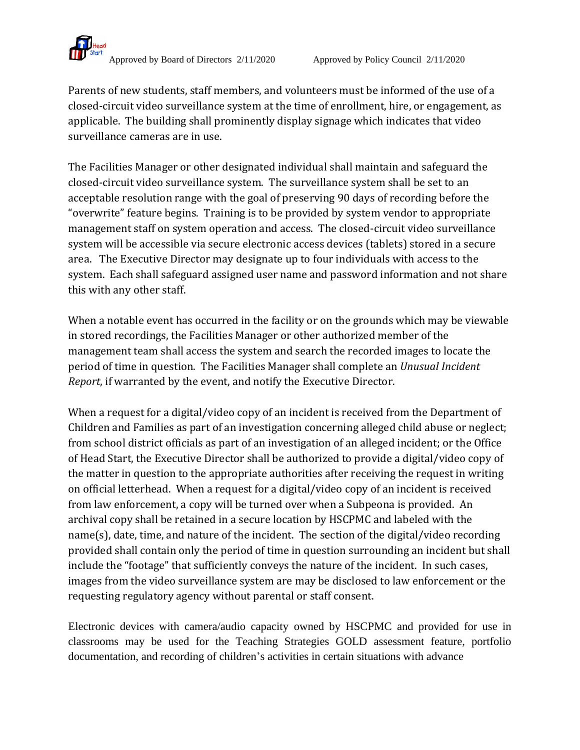

Parents of new students, staff members, and volunteers must be informed of the use of a closed-circuit video surveillance system at the time of enrollment, hire, or engagement, as applicable.The building shall prominently display signage which indicates that video surveillance cameras are in use.

The Facilities Manager or other designated individual shall maintain and safeguard the closed-circuit video surveillance system. The surveillance system shall be set to an acceptable resolution range with the goal of preserving 90 days of recording before the "overwrite" feature begins. Training is to be provided by system vendor to appropriate management staff on system operation and access. The closed-circuit video surveillance system will be accessible via secure electronic access devices (tablets) stored in a secure area. The Executive Director may designate up to four individuals with access to the system. Each shall safeguard assigned user name and password information and not share this with any other staff.

When a notable event has occurred in the facility or on the grounds which may be viewable in stored recordings, the Facilities Manager or other authorized member of the management team shall access the system and search the recorded images to locate the period of time in question. The Facilities Manager shall complete an *Unusual Incident Report*, if warranted by the event, and notify the Executive Director.

When a request for a digital/video copy of an incident is received from the Department of Children and Families as part of an investigation concerning alleged child abuse or neglect; from school district officials as part of an investigation of an alleged incident; or the Office of Head Start, the Executive Director shall be authorized to provide a digital/video copy of the matter in question to the appropriate authorities after receiving the request in writing on official letterhead. When a request for a digital/video copy of an incident is received from law enforcement, a copy will be turned over when a Subpeona is provided. An archival copy shall be retained in a secure location by HSCPMC and labeled with the name(s), date, time, and nature of the incident. The section of the digital/video recording provided shall contain only the period of time in question surrounding an incident but shall include the "footage" that sufficiently conveys the nature of the incident. In such cases, images from the video surveillance system are may be disclosed to law enforcement or the requesting regulatory agency without parental or staff consent.

Electronic devices with camera/audio capacity owned by HSCPMC and provided for use in classrooms may be used for the Teaching Strategies GOLD assessment feature, portfolio documentation, and recording of children's activities in certain situations with advance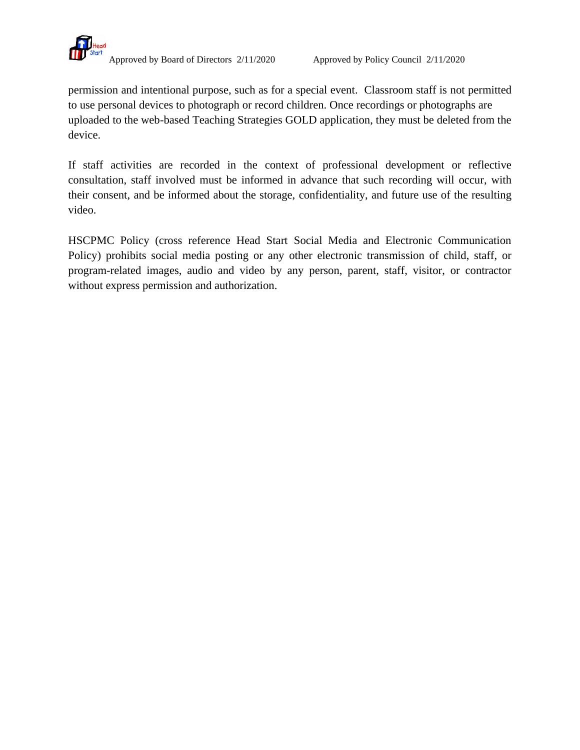

Approved by Board of Directors 2/11/2020 Approved by Policy Council 2/11/2020

permission and intentional purpose, such as for a special event. Classroom staff is not permitted to use personal devices to photograph or record children. Once recordings or photographs are uploaded to the web-based Teaching Strategies GOLD application, they must be deleted from the device.

If staff activities are recorded in the context of professional development or reflective consultation, staff involved must be informed in advance that such recording will occur, with their consent, and be informed about the storage, confidentiality, and future use of the resulting video.

HSCPMC Policy (cross reference Head Start Social Media and Electronic Communication Policy) prohibits social media posting or any other electronic transmission of child, staff, or program-related images, audio and video by any person, parent, staff, visitor, or contractor without express permission and authorization.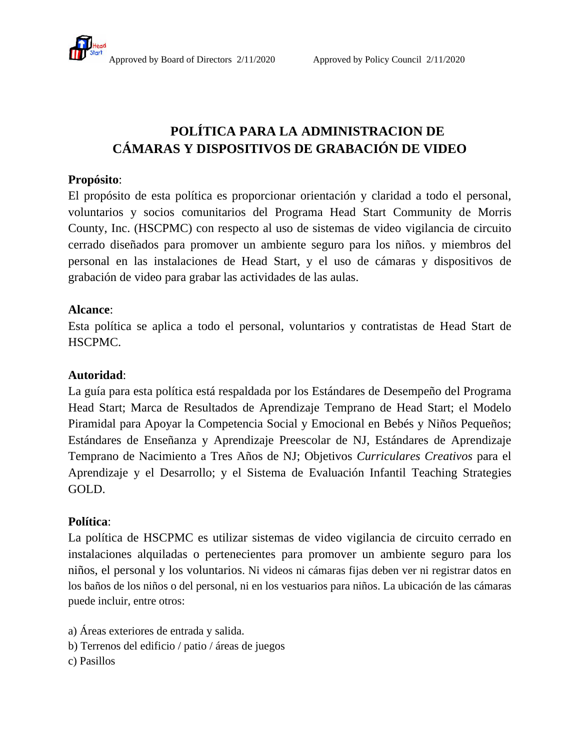## **POLÍTICA PARA LA ADMINISTRACION DE CÁMARAS Y DISPOSITIVOS DE GRABACIÓN DE VIDEO**

#### **Propósito**:

El propósito de esta política es proporcionar orientación y claridad a todo el personal, voluntarios y socios comunitarios del Programa Head Start Community de Morris County, Inc. (HSCPMC) con respecto al uso de sistemas de video vigilancia de circuito cerrado diseñados para promover un ambiente seguro para los niños. y miembros del personal en las instalaciones de Head Start, y el uso de cámaras y dispositivos de grabación de video para grabar las actividades de las aulas.

### **Alcance**:

Esta política se aplica a todo el personal, voluntarios y contratistas de Head Start de HSCPMC.

#### **Autoridad**:

La guía para esta política está respaldada por los Estándares de Desempeño del Programa Head Start; Marca de Resultados de Aprendizaje Temprano de Head Start; el Modelo Piramidal para Apoyar la Competencia Social y Emocional en Bebés y Niños Pequeños; Estándares de Enseñanza y Aprendizaje Preescolar de NJ, Estándares de Aprendizaje Temprano de Nacimiento a Tres Años de NJ; Objetivos *Curriculares Creativos* para el Aprendizaje y el Desarrollo; y el Sistema de Evaluación Infantil Teaching Strategies GOLD.

### **Política**:

La política de HSCPMC es utilizar sistemas de video vigilancia de circuito cerrado en instalaciones alquiladas o pertenecientes para promover un ambiente seguro para los niños, el personal y los voluntarios. Ni videos ni cámaras fijas deben ver ni registrar datos en los baños de los niños o del personal, ni en los vestuarios para niños. La ubicación de las cámaras puede incluir, entre otros:

a) Áreas exteriores de entrada y salida.

b) Terrenos del edificio / patio / áreas de juegos

c) Pasillos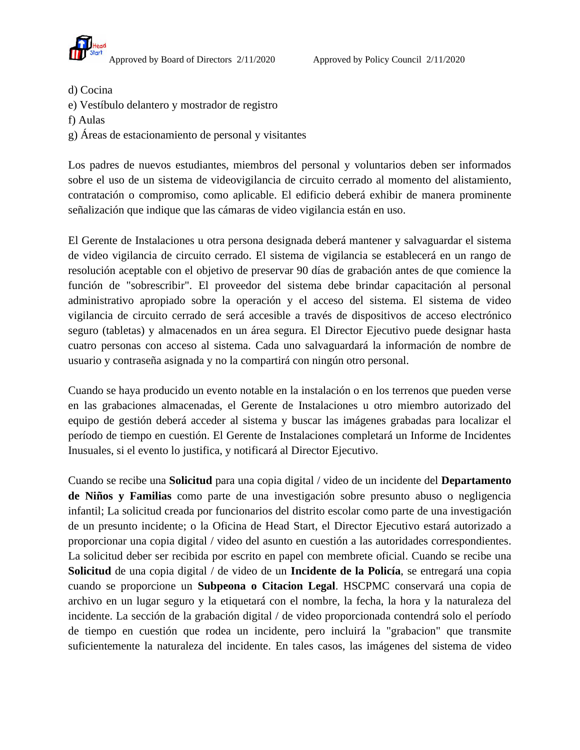

- d) Cocina
- e) Vestíbulo delantero y mostrador de registro
- f) Aulas
- g) Áreas de estacionamiento de personal y visitantes

Los padres de nuevos estudiantes, miembros del personal y voluntarios deben ser informados sobre el uso de un sistema de videovigilancia de circuito cerrado al momento del alistamiento, contratación o compromiso, como aplicable. El edificio deberá exhibir de manera prominente señalización que indique que las cámaras de video vigilancia están en uso.

El Gerente de Instalaciones u otra persona designada deberá mantener y salvaguardar el sistema de video vigilancia de circuito cerrado. El sistema de vigilancia se establecerá en un rango de resolución aceptable con el objetivo de preservar 90 días de grabación antes de que comience la función de "sobrescribir". El proveedor del sistema debe brindar capacitación al personal administrativo apropiado sobre la operación y el acceso del sistema. El sistema de video vigilancia de circuito cerrado de será accesible a través de dispositivos de acceso electrónico seguro (tabletas) y almacenados en un área segura. El Director Ejecutivo puede designar hasta cuatro personas con acceso al sistema. Cada uno salvaguardará la información de nombre de usuario y contraseña asignada y no la compartirá con ningún otro personal.

Cuando se haya producido un evento notable en la instalación o en los terrenos que pueden verse en las grabaciones almacenadas, el Gerente de Instalaciones u otro miembro autorizado del equipo de gestión deberá acceder al sistema y buscar las imágenes grabadas para localizar el período de tiempo en cuestión. El Gerente de Instalaciones completará un Informe de Incidentes Inusuales, si el evento lo justifica, y notificará al Director Ejecutivo.

Cuando se recibe una **Solicitud** para una copia digital / video de un incidente del **Departamento de Niños y Familias** como parte de una investigación sobre presunto abuso o negligencia infantil; La solicitud creada por funcionarios del distrito escolar como parte de una investigación de un presunto incidente; o la Oficina de Head Start, el Director Ejecutivo estará autorizado a proporcionar una copia digital / video del asunto en cuestión a las autoridades correspondientes. La solicitud deber ser recibida por escrito en papel con membrete oficial. Cuando se recibe una **Solicitud** de una copia digital / de video de un **Incidente de la Policía**, se entregará una copia cuando se proporcione un **Subpeona o Citacion Legal**. HSCPMC conservará una copia de archivo en un lugar seguro y la etiquetará con el nombre, la fecha, la hora y la naturaleza del incidente. La sección de la grabación digital / de video proporcionada contendrá solo el período de tiempo en cuestión que rodea un incidente, pero incluirá la "grabacion" que transmite suficientemente la naturaleza del incidente. En tales casos, las imágenes del sistema de video